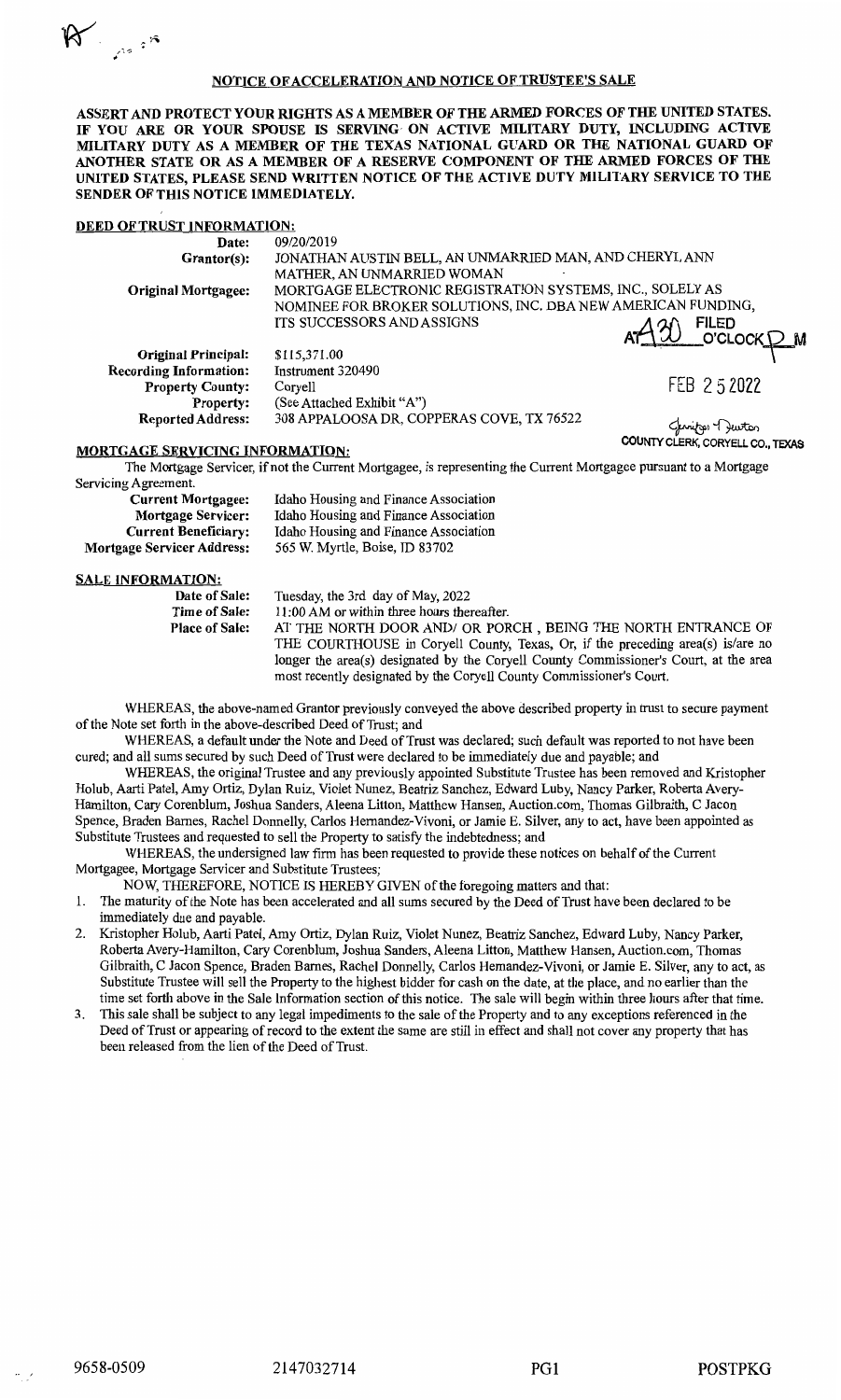# R.

### **NOTICE OF ACCELERATION AND NOTICE OF TRUSTEE'S SALE**

**ASSERT AND PROTECT YOUR RIGHTS AS A MEMBER OF THE ARMED FORCES OF THE UNITED STATES. IF YOU ARE OR YOUR SPOUSE IS SERVING- ON ACTIVE MILITARY DUTY, INCLUDING ACTIVE MILITARY DUTY AS A MEMBER OF THE TEXAS NATIONAL GUARD OR THE NATIONAL GUARD OF ANOTHER STATE OR AS A MEMBER OF A RESERVE COMPONENT OF THE ARMED FORCES OF THE UNITED STATES, PLEASE SEND WRITTEN NOTICE OF THE ACTIVE DUTY MILITARY SERVICE TO THE SENDER OF THIS NOTICE IMMEDIATELY.** 

### **DEED OF TRUST INFORMATION:**

| Date:                         | 09/20/2019                                                   |            |
|-------------------------------|--------------------------------------------------------------|------------|
| Grantor(s):                   | JONATHAN AUSTIN BELL, AN UNMARRIED MAN, AND CHERYL ANN       |            |
|                               | MATHER, AN UNMARRIED WOMAN                                   |            |
| <b>Original Mortgagee:</b>    | MORTGAGE ELECTRONIC REGISTRATION SYSTEMS, INC., SOLELY AS    |            |
|                               | NOMINEE FOR BROKER SOLUTIONS, INC. DBA NEW AMERICAN FUNDING, |            |
|                               | <b>ITS SUCCESSORS AND ASSIGNS</b>                            |            |
|                               |                                                              |            |
| <b>Original Principal:</b>    | \$115,371.00                                                 |            |
| <b>Recording Information:</b> | Instrument 320490                                            |            |
| <b>Property County:</b>       | Coryell                                                      | FEB 252022 |
| <b>Property:</b>              | (See Attached Exhibit "A")                                   |            |

See Attached Exhibit "A")<br>308 APPALOOSA DR, COPPERAS COVE, TX 76522<br>**COUNTY CLERK.** CORYELL CO. TEXAS

## **MORTGAGE SERVICING INFORMATION:**  $\blacksquare$

**Reported Address:** 

The Mortgage Servicer, if not the Current Mortgagee, is representing the Current Mortgagee pursuant to a Mortgage Servicing Agreement.

| Idaho Housing and Finance Association |  |  |
|---------------------------------------|--|--|
| Idaho Housing and Finance Association |  |  |
| Idaho Housing and Finance Association |  |  |
| 565 W. Myrtle, Boise, ID 83702        |  |  |
|                                       |  |  |

#### **SALE INFORMATION:**

**Date of Sale: Time of Sale: Place of Sale:**  Tuesday, the 3rd day of May, 2022 11 :00 AM or within three hours thereafter. AT THE NORTH DOOR AND/ OR PORCH , BEING THE NORTH ENTRANCE OF THE COURTHOUSE in Coryell County, Texas, Or, if the preceding area(s) is/are no longer the area(s) designated by the Coryell County Commissioner's Court, at the area most recently designated by the Coryell County Commissioner's Court.

WHEREAS, the above-named Grantor previously conveyed the above described property in trust to secure payment of the Note set forth in the above-described Deed of Trust; and

WHEREAS, a default under the Note and Deed of Trust was declared; such default was reported to not have been cured; and all sums secured by such Deed of Trust were declared to be immediately due and payable; and

WHEREAS, the original Trustee and any previously appointed Substitute Trustee has been removed and Kristopher Holub, Aarti Patel, Amy Ortiz, Dylan Ruiz, Violet Nunez, Beatriz Sanchez, Edward Luby, Nancy Parker, Roberta Avery-Hamilton, Cary Corenblum, Joshua Sanders, Aleena Litton, Matthew Hansen, Auction.com, Thomas Gilbraith, C Jacon Spence, Braden Barnes, Rachel Donnelly, Carlos Hemandez-Vivoni, or Jamie E. Silver, any to act, have been appointed as Substitute Trustees and requested to sell the Property to satisfy the indebtedness; and

WHEREAS, the undersigned law firm has been requested to provide these notices on behalf of the Current Mortgagee, Mortgage Servicer and Substitute Trustees;

NOW, THEREFORE, NOTICE IS HEREBY GIVEN of the foregoing matters and that:

l. The maturity of the Note has been accelerated and all sums secured by the Deed of Trust have been declared to be immediately due and payable.

- 2. Kristopher Holub, Aarti Patel, Amy Ortiz, Dylan Ruiz, Violet Nunez, Beatriz Sanchez, Edward Luby, Nancy Parker, Roberta Avery-Hamilton, Cary Corenblum, Joshua Sanders, Aleena Litton, Matthew Hansen, Auction.com, Thomas Gilbraith, C Jacon Spence, Braden Barnes, Rachel Donnelly, Carlos Hemandez-Vivoni, or Jamie E. Silver, any to act, as Substitute Trustee will sell the Property to the highest bidder for cash on the date, at the place, and no earlier than the time set forth above in the Sale Information section of this notice. The sale will begin within three hours after that time.
- 3. This sale shall be subject to any legal impediments to the sale of the Property and to any exceptions referenced in the Deed of Trust or appearing ofrecord to the extent the same are still in effect and shall not cover any property that has been released from the lien of the Deed of Trust.